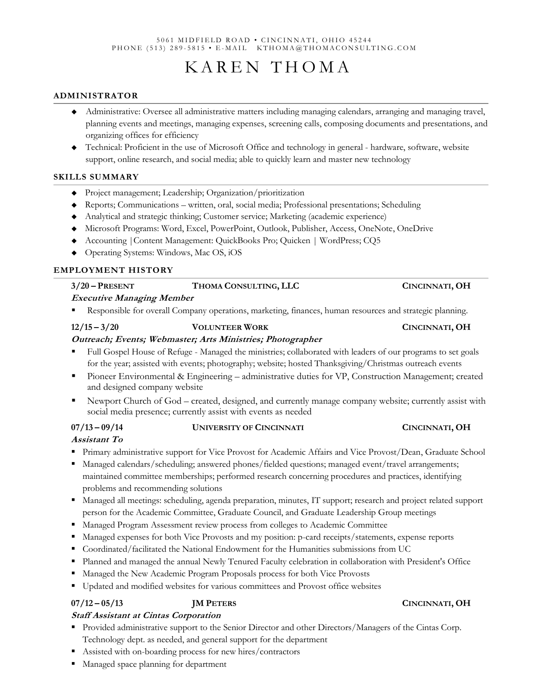### 5061 MIDFIELD ROAD • CINCINNATI, OHIO 45244 PHONE (513) 289-5815 • E-MAIL KTHOMA@THOMACONSULTING.COM

# KAREN THOMA

### **ADMINISTRATOR**

- ◆ Administrative: Oversee all administrative matters including managing calendars, arranging and managing travel, planning events and meetings, managing expenses, screening calls, composing documents and presentations, and organizing offices for efficiency
- ◆ Technical: Proficient in the use of Microsoft Office and technology in general hardware, software, website support, online research, and social media; able to quickly learn and master new technology

### **SKILLS SUMMARY**

- ◆ Project management; Leadership; Organization/prioritization
- ◆ Reports; Communications written, oral, social media; Professional presentations; Scheduling
- ◆ Analytical and strategic thinking; Customer service; Marketing (academic experience)
- ◆ Microsoft Programs: Word, Excel, PowerPoint, Outlook, Publisher, Access, OneNote, OneDrive
- ◆ Accounting |Content Management: QuickBooks Pro; Quicken | WordPress; CQ5
- ◆ Operating Systems: Windows, Mac OS, iOS

### **EMPLOYMENT HISTORY**

### **Executive Managing Member** Responsible for overall Company operations, marketing, finances, human resources and strategic planning.

**3/20 – PRESENT THOMA CONSULTING, LLC CINCINNATI, OH**

# **12/15 – 3/20 VOLUNTEER WORK CINCINNATI, OH**

### **Outreach; Events; Webmaster; Arts Ministries; Photographer**

- Full Gospel House of Refuge Managed the ministries; collaborated with leaders of our programs to set goals for the year; assisted with events; photography; website; hosted Thanksgiving/Christmas outreach events
- Pioneer Environmental & Engineering administrative duties for VP, Construction Management; created and designed company website
- Newport Church of God created, designed, and currently manage company website; currently assist with social media presence; currently assist with events as needed

# **07/13 – 09/14 UNIVERSITY OF CINCINNATI CINCINNATI, OH**

# **Assistant To**

- Primary administrative support for Vice Provost for Academic Affairs and Vice Provost/Dean, Graduate School
- Managed calendars/scheduling; answered phones/fielded questions; managed event/travel arrangements; maintained committee memberships; performed research concerning procedures and practices, identifying problems and recommending solutions
- Managed all meetings: scheduling, agenda preparation, minutes, IT support; research and project related support person for the Academic Committee, Graduate Council, and Graduate Leadership Group meetings
- Managed Program Assessment review process from colleges to Academic Committee
- Managed expenses for both Vice Provosts and my position: p-card receipts/statements, expense reports
- Coordinated/facilitated the National Endowment for the Humanities submissions from UC
- Planned and managed the annual Newly Tenured Faculty celebration in collaboration with President's Office
- Managed the New Academic Program Proposals process for both Vice Provosts
- Updated and modified websites for various committees and Provost office websites

# **07/12 – 05/13 JM PETERS CINCINNATI, OH**

# **Staff Assistant at Cintas Corporation**

- Provided administrative support to the Senior Director and other Directors/Managers of the Cintas Corp. Technology dept. as needed, and general support for the department
- Assisted with on-boarding process for new hires/contractors
- Managed space planning for department